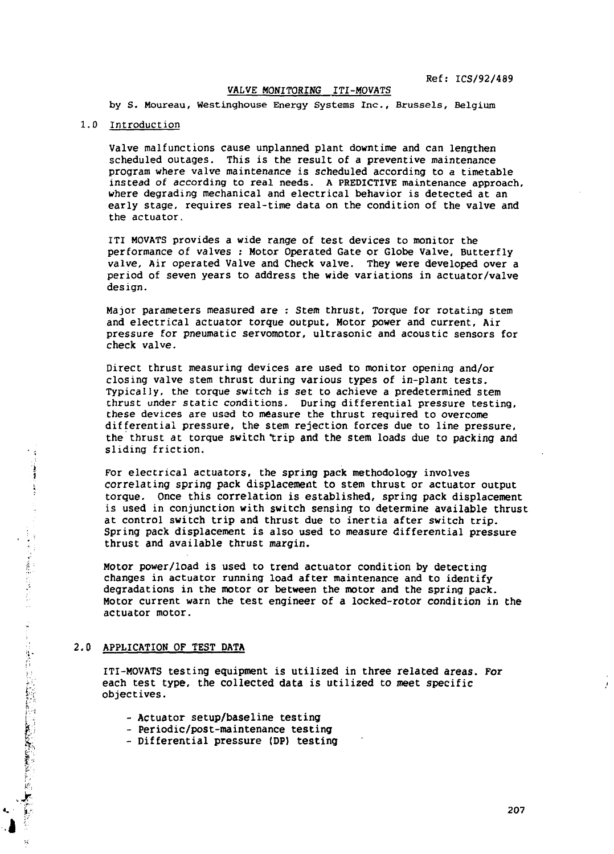# **VALVE MONITORING ITI-MOVATS**

**by S. Moureau, Westinghouse Energy Systems Inc., Brussels, Belgium**

# **1.0 Introduction**

**Valve malfunctions cause unplanned plant downtime and can lengthen scheduled outages. This is the result of a preventive maintenance program where valve maintenance is scheduled according to a timetable instead of according to real needs. A PREDICTIVE maintenance approach, where degrading mechanical and electrical behavior is detected at an early stage, requires real-time data on the condition of the valve and the actuator.**

**ITI MOVATS provides a wide range of test devices to monitor the performance of valves : Motor Operated Gate or Globe Valve, Butterfly valve, Air operated Valve and Check valve. They were developed over a period of seven years to address the wide variations in actuator/valve design.**

**Major parameters measured are : Stem thrust, Torque for rotating stem and electrical actuator torque output. Motor power and current, Air pressure for pneumatic servomotor, ultrasonic and acoustic sensors for check valve.**

**Direct thrust measuring devices are used to monitor opening and/or closing valve stem thrust during various types of in-plant tests. Typically, the torque switch is set to achieve a predetermined stem thrust under static conditions. During differential pressure testing, these devices are ussd to measure the thrust required to overcome differential pressure, the stem rejection forces due to line pressure, the thrust at torque switch "trip and the stem loads due to packing and •. sliding friction.**

> **| For electrical actuators, the spring pack methodology involves >' correlating spring pack displacement to stem thrust or actuator output <sup>f</sup> torque. Once this correlation is established, spring pack displacement is used in conjunction with switch sensing to determine available thrust at control switch trip and thrust due to inertia after switch trip. : thrust and available thrust margin.**

Spring pack displacement is also used to measure differential pressure<br>thrust and available thrust margin.<br>Motor power/load is used to trend actuator condition by detecting<br>changes in actuator running load after maintenanc **fi Motor power/load is used to trend actuator condition by detecting r changes in actuator running load after maintenance and to identify " degradations in the motor or between the motor and the spring pack. Motor current warn the test engineer of a locked-rotor condition in the actuator motor.**

#### **: 2,0 APPLICATION OF TEST DATA**

 $\mathcal{L} = \frac{1}{2} \sum_{i=1}^{N} \sum_{j=1}^{N} \sum_{j=1}^{N} \sum_{j=1}^{N} \sum_{j=1}^{N} \sum_{j=1}^{N} \sum_{j=1}^{N} \sum_{j=1}^{N} \sum_{j=1}^{N} \sum_{j=1}^{N} \sum_{j=1}^{N} \sum_{j=1}^{N} \sum_{j=1}^{N} \sum_{j=1}^{N} \sum_{j=1}^{N} \sum_{j=1}^{N} \sum_{j=1}^{N} \sum_{j=1}^{N} \sum_{j=1}^{N} \sum_{j=1}^{N} \sum_{j=1$ 

**i ITI-MOVATS testing equipment is utilized in three related areas. For V;. each test type, the collected data is utilized to meet specific !:;: objectives.**

- **[ . Actuator setup/baseline testing**
- **|! Periodic/post-maintenance testing**
- **£; Differential pressure (DP) testing**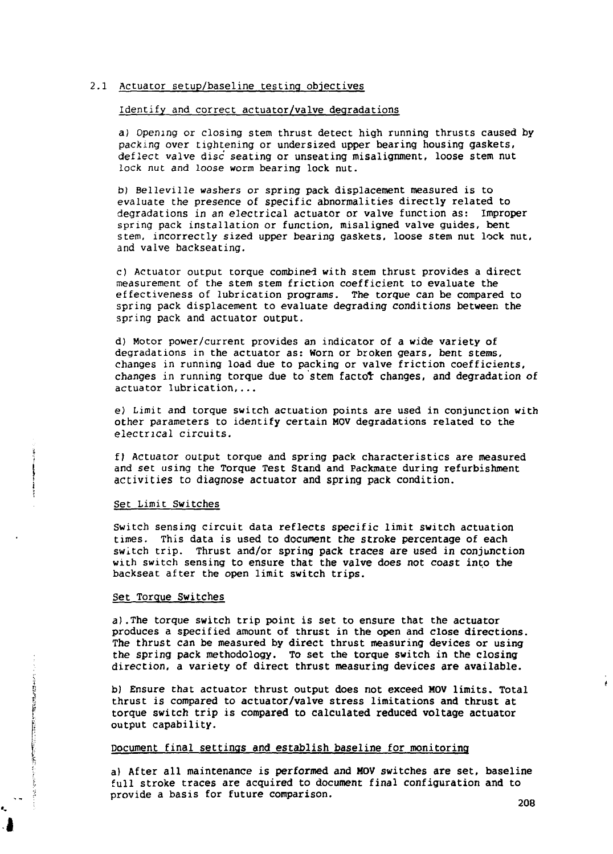#### 2.1 Actuator setup/baseline testing objectives

### Identify and correct actuator/valve degradations

a) Opening or closing stem thrust detect high running thrusts caused by packing over tightening or undersized upper bearing housing gaskets, deflect valve disc seating or unseating misalignment, loose stem nut lock nut and loose worm bearing lock nut.

b) Belleville washers or spring pack displacement measured is to evaluate the presence of specific abnormalities directly related to degradations in an electrical actuator or valve function as: Improper spring pack installation or function, misaligned valve guides, bent stem, incorrectly sized upper bearing gaskets, loose stem nut lock nut, and valve backseating.

c) Actuator output torque combined with stem thrust provides a direct measurement of the stem stem friction coefficient to evaluate the effectiveness of lubrication programs. The torque can be compared to spring pack displacement to evaluate degrading conditions between the spring pack and actuator output.

d) Motor power/current provides an indicator of a wide variety of degradations in the actuator as: Worn or broken gears, bent stems, changes in running load due to packing or valve friction coefficients, changes in running torque due to stem factor changes, and degradation of actuator lubrication,...

e) Limit and torque switch actuation points are used in conjunction with other parameters to identify certain MOV degradations related to the electrical circuits.

f) Actuator output torque and spring pack characteristics are measured and set using the Torque Test Stand and Packmate during refurbishment activities to diagnose actuator and spring pack condition.

#### Set Limit Switches

Switch sensing circuit data reflects specific limit switch actuation times. This data is used to document the stroke percentage of each switch trip. Thrust and/or spring pack traces are used in conjunction with switch sensing to ensure that the valve does not coast into the backseat after the open limit switch trips.

### Set Torque Switches

**in the second of the state of the contract of the contract of the contract of the contract of the contract of** 

a).The torque switch trip point is set to ensure that the actuator produces a specified amount of thrust in the open and close directions. The thrust can be measured by direct thrust measuring devices or using the spring pack methodology. To set the torque switch in the closing direction, a variety of direct thrust measuring devices are available.

b) Ensure that actuator thrust output does not exceed MOV limits. Total thrust is compared to actuator/valve stress limitations and thrust at  $j_{\rm t}$  thrust is computed to actuator/value stress limitations and thrust at  $\alpha$ torque switch trip is compared to calculated reduced voltage actuator output capability.

# Document final settings and establish baseline for monitoring

a) After all maintenance is performed and MOV switches are set, baseline full stroke traces are acquired to document final configuration and to provide a basis for future comparison.

é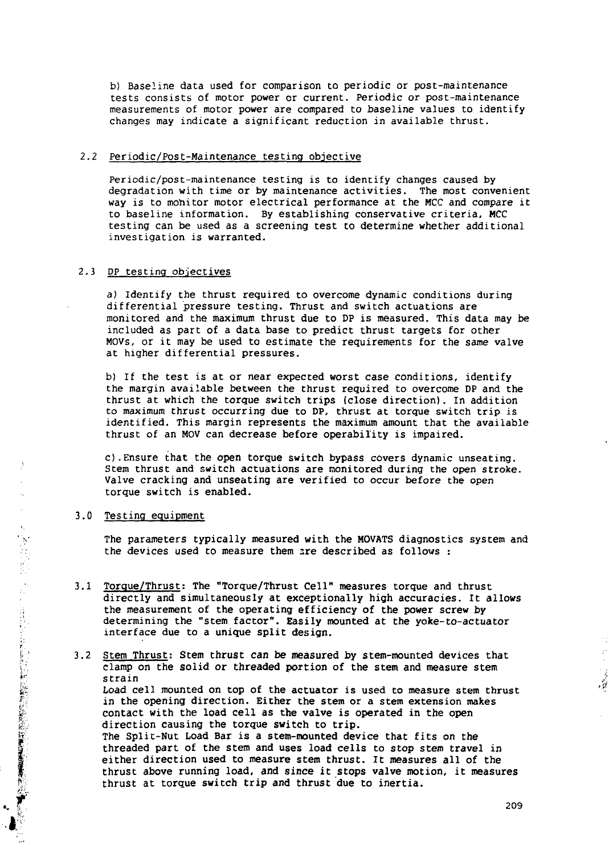b) Baseline data used for comparison to periodic or post-maintenance tests consists of motor power or current. Periodic or post-maintenance measurements of motor power are compared to baseline values to identify changes may indicate a significant reduction in available thrust.

# 2.2 Periodic/Post-Maintenance testing objective

Periodic/post-maintenance testing is to identify changes caused by degradation with time or by maintenance activities. The most convenient way is to monitor motor electrical performance at the MCC and compare it to baseline information. By establishing conservative criteria, MCC testing can be used as a screening test to determine whether additional investigation is warranted.

# 2.3 DP testing objectives

a) Identify the thrust required to overcome dynamic conditions during differential pressure testing. Thrust and switch actuations are monitored and the maximum thrust due to DP is measured. This data may be included as part of a data base to predict thrust targets for other MOVs, or it may be used to estimate the requirements for the same valve at higher differential pressures.

b) If the test is at or near expected worst case conditions, identify the margin available between the thrust required to overcome DP and the thrust at which the torque switch trips (close direction). In addition to maximum thrust occurring due to DP, thrust at torque switch trip is identified. This margin represents the maximum amount that the available thrust of an MOV can decrease before operability is impaired.

c).Ensure that the open torque switch bypass covers dynamic unseating. Stem thrust and switch actuations are monitored during the open stroke. Valve cracking and unseating are verified to occur before the open torque switch is enabled.

#### 3.0 Testing equipment

l

i

The parameters typically measured with the MOVATS diagnostics system and the devices used to measure them are described as follows :

3.1 Torque/Thrust: The "Torque/Thrust Cell" measures torque and thrust directly and simultaneously at exceptionally high accuracies. It allows the measurement of the operating efficiency of the power screw by determining the "stem factor". Easily mounted at the yoke-to-actuator interface due to a unique split design.

I' 3.2 Stem Thrust: Stem thrust can be measured by stem-mounted devices that : clamp on the solid or threaded portion of the stem and measure stem strain Load cell mounted on top of the actuator is used to measure stem thrust in the opening direction. Either the stem or a stem extension makes contact with the load cell as the valve is operated in the open direction causing the torque switch to trip. The Split-Nut Load Bar is a stem-mounted device that fits on the threaded part of the stem and uses load cells to stop stem travel in : either direction used to measure stem thrust. It measures all of the thrust above running load, and since it stops valve motion, it measures thrust at torque switch trip and thrust due to inertia.

÷,  $\bar{\mathcal{O}}$ 

 $\frac{1}{d}$